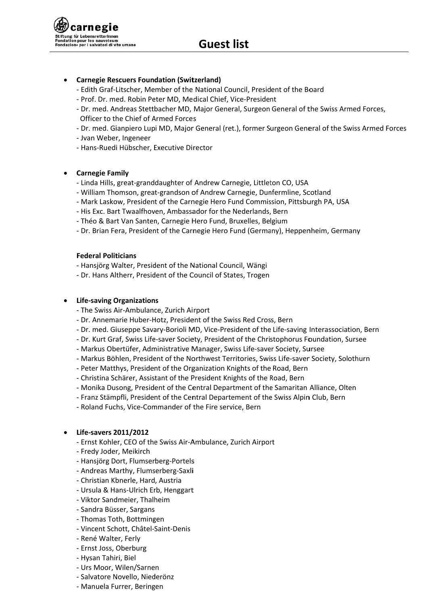**Guest list** 

# • Carnegie Rescuers Foundation (Switzerland)

- Edith Graf-Litscher, Member of the National Council, President of the Board
- Prof. Dr. med. Robin Peter MD, Medical Chief, Vice-President
- Dr. med. Andreas Stettbacher MD, Major General, Surgeon General of the Swiss Armed Forces, Officer to the Chief of Armed Forces
- Dr. med. Gianpiero Lupi MD, Major General (ret.), former Surgeon General of the Swiss Armed Forces
- Jvan Weber, Ingeneer
- Hans-Ruedi Hübscher, Executive Director

# **Carnegie Family**

- Linda Hills, great-granddaughter of Andrew Carnegie, Littleton CO, USA
- William Thomson, great-grandson of Andrew Carnegie, Dunfermline, Scotland
- Mark Laskow, President of the Carnegie Hero Fund Commission, Pittsburgh PA, USA
- His Exc. Bart Twaalfhoven, Ambassador for the Nederlands, Bern
- Théo & Bart Van Santen, Carnegie Hero Fund, Bruxelles, Belgium
- Dr. Brian Fera, President of the Carnegie Hero Fund (Germany), Heppenheim, Germany

# **Federal Politicians**

- Hansjörg Walter, President of the National Council, Wängi
- Dr. Hans Altherr, President of the Council of States, Trogen

## • Life-saving Organizations

- The Swiss Air-Ambulance, Zurich Airport
- Dr. Annemarie Huber-Hotz, President of the Swiss Red Cross, Bern
- Dr. med. Giuseppe Savary-Borioli MD, Vice-President of the Life-saving Interassociation, Bern
- Dr. Kurt Graf, Swiss Life-saver Society, President of the Christophorus Foundation, Sursee
- Markus Obertüfer, Administrative Manager, Swiss Life-saver Society, Sursee
- Markus Böhlen, President of the Northwest Territories, Swiss Life-saver Society, Solothurn
- Peter Matthys, President of the Organization Knights of the Road, Bern
- Christina Schärer, Assistant of the President Knights of the Road, Bern
- Monika Dusong, President of the Central Department of the Samaritan Alliance, Olten
- Franz Stämpfli, President of the Central Departement of the Swiss Alpin Club, Bern
- Roland Fuchs, Vice-Commander of the Fire service, Bern

## **Life-savers 2011/2012**

- Ernst Kohler, CEO of the Swiss Air-Ambulance, Zurich Airport
- Fredy Joder, Meikirch
- Hansjörg Dort, Flumserberg-Portels
- Andreas Marthy, Flumserberg-Saxli
- Christian Kbnerle, Hard, Austria
- Ursula & Hans-Ulrich Erb, Henggart
- Viktor Sandmeier, Thalheim
- Sandra Büsser, Sargans
- Thomas Toth, Bottmingen
- Vincent Schott, Châtel-Saint-Denis
- René Walter, Ferly
- Ernst Joss, Oberburg
- Hysan Tahiri, Biel
- Urs Moor, Wilen/Sarnen
- Salvatore Novello, Niederönz
- Manuela Furrer, Beringen